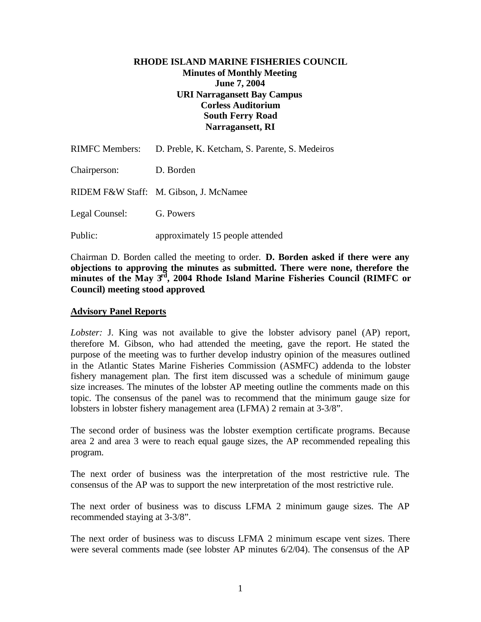### **RHODE ISLAND MARINE FISHERIES COUNCIL Minutes of Monthly Meeting June 7, 2004 URI Narragansett Bay Campus Corless Auditorium South Ferry Road Narragansett, RI**

|                | RIMFC Members: D. Preble, K. Ketcham, S. Parente, S. Medeiros |
|----------------|---------------------------------------------------------------|
| Chairperson:   | D. Borden                                                     |
|                | RIDEM F&W Staff: M. Gibson, J. McNamee                        |
| Legal Counsel: | G. Powers                                                     |
| Public:        | approximately 15 people attended                              |

Chairman D. Borden called the meeting to order. **D. Borden asked if there were any objections to approving the minutes as submitted. There were none, therefore the minutes of the May 3rd, 2004 Rhode Island Marine Fisheries Council (RIMFC or Council) meeting stood approved**.

#### **Advisory Panel Reports**

*Lobster:* J. King was not available to give the lobster advisory panel (AP) report, therefore M. Gibson, who had attended the meeting, gave the report. He stated the purpose of the meeting was to further develop industry opinion of the measures outlined in the Atlantic States Marine Fisheries Commission (ASMFC) addenda to the lobster fishery management plan. The first item discussed was a schedule of minimum gauge size increases. The minutes of the lobster AP meeting outline the comments made on this topic. The consensus of the panel was to recommend that the minimum gauge size for lobsters in lobster fishery management area (LFMA) 2 remain at 3-3/8".

The second order of business was the lobster exemption certificate programs. Because area 2 and area 3 were to reach equal gauge sizes, the AP recommended repealing this program.

The next order of business was the interpretation of the most restrictive rule. The consensus of the AP was to support the new interpretation of the most restrictive rule.

The next order of business was to discuss LFMA 2 minimum gauge sizes. The AP recommended staying at 3-3/8".

The next order of business was to discuss LFMA 2 minimum escape vent sizes. There were several comments made (see lobster AP minutes 6/2/04). The consensus of the AP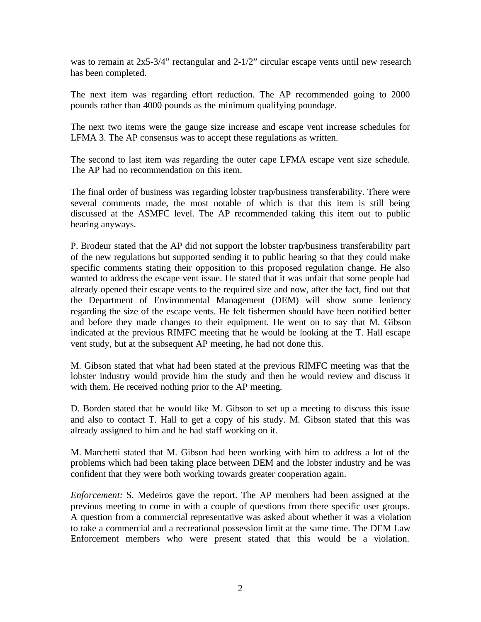was to remain at  $2x5-3/4$ " rectangular and  $2-1/2$ " circular escape vents until new research has been completed.

The next item was regarding effort reduction. The AP recommended going to 2000 pounds rather than 4000 pounds as the minimum qualifying poundage.

The next two items were the gauge size increase and escape vent increase schedules for LFMA 3. The AP consensus was to accept these regulations as written.

The second to last item was regarding the outer cape LFMA escape vent size schedule. The AP had no recommendation on this item.

The final order of business was regarding lobster trap/business transferability. There were several comments made, the most notable of which is that this item is still being discussed at the ASMFC level. The AP recommended taking this item out to public hearing anyways.

P. Brodeur stated that the AP did not support the lobster trap/business transferability part of the new regulations but supported sending it to public hearing so that they could make specific comments stating their opposition to this proposed regulation change. He also wanted to address the escape vent issue. He stated that it was unfair that some people had already opened their escape vents to the required size and now, after the fact, find out that the Department of Environmental Management (DEM) will show some leniency regarding the size of the escape vents. He felt fishermen should have been notified better and before they made changes to their equipment. He went on to say that M. Gibson indicated at the previous RIMFC meeting that he would be looking at the T. Hall escape vent study, but at the subsequent AP meeting, he had not done this.

M. Gibson stated that what had been stated at the previous RIMFC meeting was that the lobster industry would provide him the study and then he would review and discuss it with them. He received nothing prior to the AP meeting.

D. Borden stated that he would like M. Gibson to set up a meeting to discuss this issue and also to contact T. Hall to get a copy of his study. M. Gibson stated that this was already assigned to him and he had staff working on it.

M. Marchetti stated that M. Gibson had been working with him to address a lot of the problems which had been taking place between DEM and the lobster industry and he was confident that they were both working towards greater cooperation again.

*Enforcement:* S. Medeiros gave the report. The AP members had been assigned at the previous meeting to come in with a couple of questions from there specific user groups. A question from a commercial representative was asked about whether it was a violation to take a commercial and a recreational possession limit at the same time. The DEM Law Enforcement members who were present stated that this would be a violation.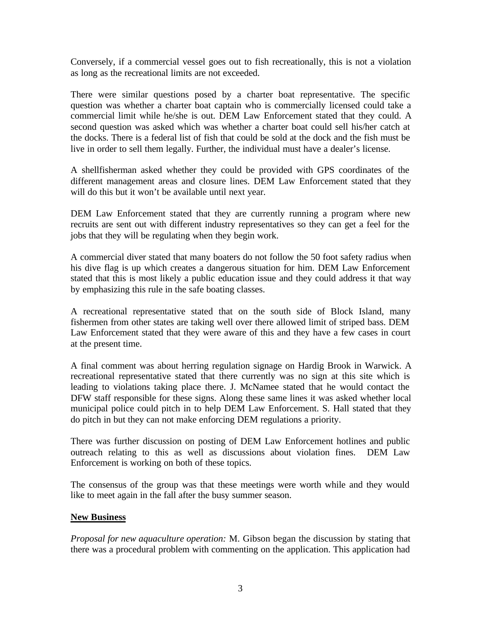Conversely, if a commercial vessel goes out to fish recreationally, this is not a violation as long as the recreational limits are not exceeded.

There were similar questions posed by a charter boat representative. The specific question was whether a charter boat captain who is commercially licensed could take a commercial limit while he/she is out. DEM Law Enforcement stated that they could. A second question was asked which was whether a charter boat could sell his/her catch at the docks. There is a federal list of fish that could be sold at the dock and the fish must be live in order to sell them legally. Further, the individual must have a dealer's license.

A shellfisherman asked whether they could be provided with GPS coordinates of the different management areas and closure lines. DEM Law Enforcement stated that they will do this but it won't be available until next year.

DEM Law Enforcement stated that they are currently running a program where new recruits are sent out with different industry representatives so they can get a feel for the jobs that they will be regulating when they begin work.

A commercial diver stated that many boaters do not follow the 50 foot safety radius when his dive flag is up which creates a dangerous situation for him. DEM Law Enforcement stated that this is most likely a public education issue and they could address it that way by emphasizing this rule in the safe boating classes.

A recreational representative stated that on the south side of Block Island, many fishermen from other states are taking well over there allowed limit of striped bass. DEM Law Enforcement stated that they were aware of this and they have a few cases in court at the present time.

A final comment was about herring regulation signage on Hardig Brook in Warwick. A recreational representative stated that there currently was no sign at this site which is leading to violations taking place there. J. McNamee stated that he would contact the DFW staff responsible for these signs. Along these same lines it was asked whether local municipal police could pitch in to help DEM Law Enforcement. S. Hall stated that they do pitch in but they can not make enforcing DEM regulations a priority.

There was further discussion on posting of DEM Law Enforcement hotlines and public outreach relating to this as well as discussions about violation fines. DEM Law Enforcement is working on both of these topics.

The consensus of the group was that these meetings were worth while and they would like to meet again in the fall after the busy summer season.

#### **New Business**

*Proposal for new aquaculture operation:* M. Gibson began the discussion by stating that there was a procedural problem with commenting on the application. This application had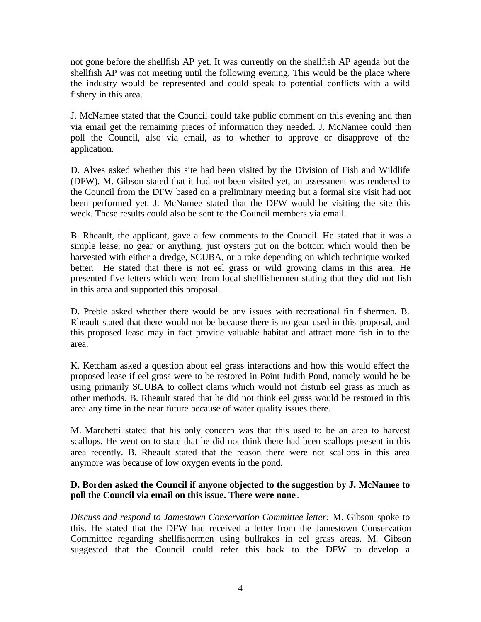not gone before the shellfish AP yet. It was currently on the shellfish AP agenda but the shellfish AP was not meeting until the following evening. This would be the place where the industry would be represented and could speak to potential conflicts with a wild fishery in this area.

J. McNamee stated that the Council could take public comment on this evening and then via email get the remaining pieces of information they needed. J. McNamee could then poll the Council, also via email, as to whether to approve or disapprove of the application.

D. Alves asked whether this site had been visited by the Division of Fish and Wildlife (DFW). M. Gibson stated that it had not been visited yet, an assessment was rendered to the Council from the DFW based on a preliminary meeting but a formal site visit had not been performed yet. J. McNamee stated that the DFW would be visiting the site this week. These results could also be sent to the Council members via email.

B. Rheault, the applicant, gave a few comments to the Council. He stated that it was a simple lease, no gear or anything, just oysters put on the bottom which would then be harvested with either a dredge, SCUBA, or a rake depending on which technique worked better. He stated that there is not eel grass or wild growing clams in this area. He presented five letters which were from local shellfishermen stating that they did not fish in this area and supported this proposal.

D. Preble asked whether there would be any issues with recreational fin fishermen. B. Rheault stated that there would not be because there is no gear used in this proposal, and this proposed lease may in fact provide valuable habitat and attract more fish in to the area.

K. Ketcham asked a question about eel grass interactions and how this would effect the proposed lease if eel grass were to be restored in Point Judith Pond, namely would he be using primarily SCUBA to collect clams which would not disturb eel grass as much as other methods. B. Rheault stated that he did not think eel grass would be restored in this area any time in the near future because of water quality issues there.

M. Marchetti stated that his only concern was that this used to be an area to harvest scallops. He went on to state that he did not think there had been scallops present in this area recently. B. Rheault stated that the reason there were not scallops in this area anymore was because of low oxygen events in the pond.

# **D. Borden asked the Council if anyone objected to the suggestion by J. McNamee to poll the Council via email on this issue. There were none** .

*Discuss and respond to Jamestown Conservation Committee letter:* M. Gibson spoke to this. He stated that the DFW had received a letter from the Jamestown Conservation Committee regarding shellfishermen using bullrakes in eel grass areas. M. Gibson suggested that the Council could refer this back to the DFW to develop a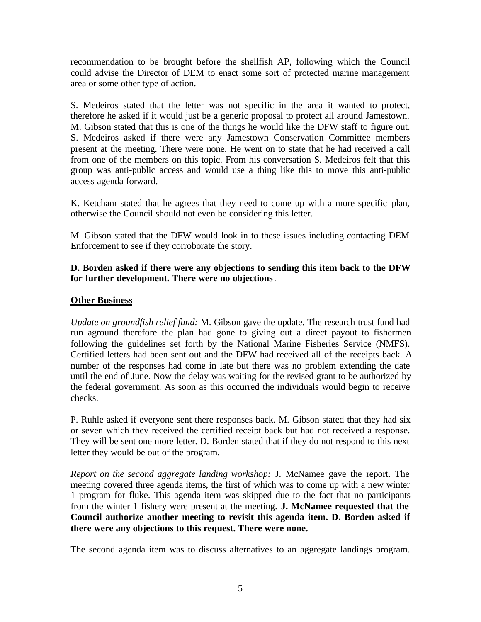recommendation to be brought before the shellfish AP, following which the Council could advise the Director of DEM to enact some sort of protected marine management area or some other type of action.

S. Medeiros stated that the letter was not specific in the area it wanted to protect, therefore he asked if it would just be a generic proposal to protect all around Jamestown. M. Gibson stated that this is one of the things he would like the DFW staff to figure out. S. Medeiros asked if there were any Jamestown Conservation Committee members present at the meeting. There were none. He went on to state that he had received a call from one of the members on this topic. From his conversation S. Medeiros felt that this group was anti-public access and would use a thing like this to move this anti-public access agenda forward.

K. Ketcham stated that he agrees that they need to come up with a more specific plan, otherwise the Council should not even be considering this letter.

M. Gibson stated that the DFW would look in to these issues including contacting DEM Enforcement to see if they corroborate the story.

## **D. Borden asked if there were any objections to sending this item back to the DFW for further development. There were no objections**.

# **Other Business**

*Update on groundfish relief fund:* M. Gibson gave the update. The research trust fund had run aground therefore the plan had gone to giving out a direct payout to fishermen following the guidelines set forth by the National Marine Fisheries Service (NMFS). Certified letters had been sent out and the DFW had received all of the receipts back. A number of the responses had come in late but there was no problem extending the date until the end of June. Now the delay was waiting for the revised grant to be authorized by the federal government. As soon as this occurred the individuals would begin to receive checks.

P. Ruhle asked if everyone sent there responses back. M. Gibson stated that they had six or seven which they received the certified receipt back but had not received a response. They will be sent one more letter. D. Borden stated that if they do not respond to this next letter they would be out of the program.

*Report on the second aggregate landing workshop:* J. McNamee gave the report. The meeting covered three agenda items, the first of which was to come up with a new winter 1 program for fluke. This agenda item was skipped due to the fact that no participants from the winter 1 fishery were present at the meeting. **J. McNamee requested that the Council authorize another meeting to revisit this agenda item. D. Borden asked if there were any objections to this request. There were none.**

The second agenda item was to discuss alternatives to an aggregate landings program.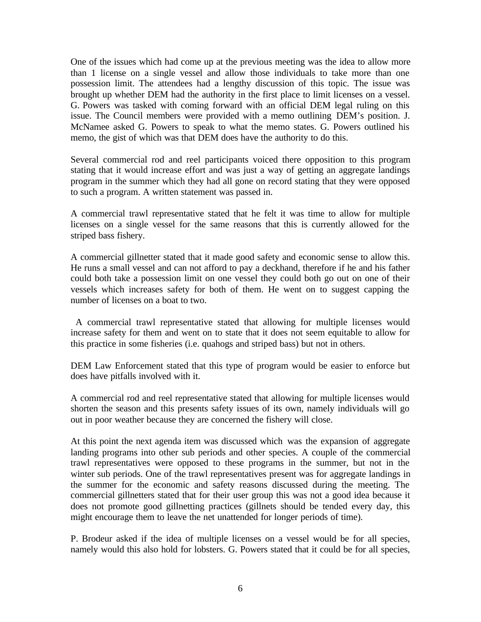One of the issues which had come up at the previous meeting was the idea to allow more than 1 license on a single vessel and allow those individuals to take more than one possession limit. The attendees had a lengthy discussion of this topic. The issue was brought up whether DEM had the authority in the first place to limit licenses on a vessel. G. Powers was tasked with coming forward with an official DEM legal ruling on this issue. The Council members were provided with a memo outlining DEM's position. J. McNamee asked G. Powers to speak to what the memo states. G. Powers outlined his memo, the gist of which was that DEM does have the authority to do this.

Several commercial rod and reel participants voiced there opposition to this program stating that it would increase effort and was just a way of getting an aggregate landings program in the summer which they had all gone on record stating that they were opposed to such a program. A written statement was passed in.

A commercial trawl representative stated that he felt it was time to allow for multiple licenses on a single vessel for the same reasons that this is currently allowed for the striped bass fishery.

A commercial gillnetter stated that it made good safety and economic sense to allow this. He runs a small vessel and can not afford to pay a deckhand, therefore if he and his father could both take a possession limit on one vessel they could both go out on one of their vessels which increases safety for both of them. He went on to suggest capping the number of licenses on a boat to two.

 A commercial trawl representative stated that allowing for multiple licenses would increase safety for them and went on to state that it does not seem equitable to allow for this practice in some fisheries (i.e. quahogs and striped bass) but not in others.

DEM Law Enforcement stated that this type of program would be easier to enforce but does have pitfalls involved with it.

A commercial rod and reel representative stated that allowing for multiple licenses would shorten the season and this presents safety issues of its own, namely individuals will go out in poor weather because they are concerned the fishery will close.

At this point the next agenda item was discussed which was the expansion of aggregate landing programs into other sub periods and other species. A couple of the commercial trawl representatives were opposed to these programs in the summer, but not in the winter sub periods. One of the trawl representatives present was for aggregate landings in the summer for the economic and safety reasons discussed during the meeting. The commercial gillnetters stated that for their user group this was not a good idea because it does not promote good gillnetting practices (gillnets should be tended every day, this might encourage them to leave the net unattended for longer periods of time).

P. Brodeur asked if the idea of multiple licenses on a vessel would be for all species, namely would this also hold for lobsters. G. Powers stated that it could be for all species,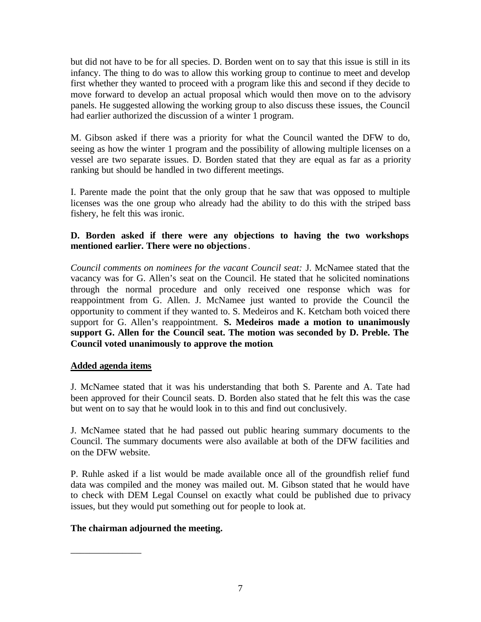but did not have to be for all species. D. Borden went on to say that this issue is still in its infancy. The thing to do was to allow this working group to continue to meet and develop first whether they wanted to proceed with a program like this and second if they decide to move forward to develop an actual proposal which would then move on to the advisory panels. He suggested allowing the working group to also discuss these issues, the Council had earlier authorized the discussion of a winter 1 program.

M. Gibson asked if there was a priority for what the Council wanted the DFW to do, seeing as how the winter 1 program and the possibility of allowing multiple licenses on a vessel are two separate issues. D. Borden stated that they are equal as far as a priority ranking but should be handled in two different meetings.

I. Parente made the point that the only group that he saw that was opposed to multiple licenses was the one group who already had the ability to do this with the striped bass fishery, he felt this was ironic.

# **D. Borden asked if there were any objections to having the two workshops mentioned earlier. There were no objections**.

*Council comments on nominees for the vacant Council seat:* J. McNamee stated that the vacancy was for G. Allen's seat on the Council. He stated that he solicited nominations through the normal procedure and only received one response which was for reappointment from G. Allen. J. McNamee just wanted to provide the Council the opportunity to comment if they wanted to. S. Medeiros and K. Ketcham both voiced there support for G. Allen's reappointment. **S. Medeiros made a motion to unanimously support G. Allen for the Council seat. The motion was seconded by D. Preble. The Council voted unanimously to approve the motion**.

# **Added agenda items**

J. McNamee stated that it was his understanding that both S. Parente and A. Tate had been approved for their Council seats. D. Borden also stated that he felt this was the case but went on to say that he would look in to this and find out conclusively.

J. McNamee stated that he had passed out public hearing summary documents to the Council. The summary documents were also available at both of the DFW facilities and on the DFW website.

P. Ruhle asked if a list would be made available once all of the groundfish relief fund data was compiled and the money was mailed out. M. Gibson stated that he would have to check with DEM Legal Counsel on exactly what could be published due to privacy issues, but they would put something out for people to look at.

# **The chairman adjourned the meeting.**

\_\_\_\_\_\_\_\_\_\_\_\_\_\_\_